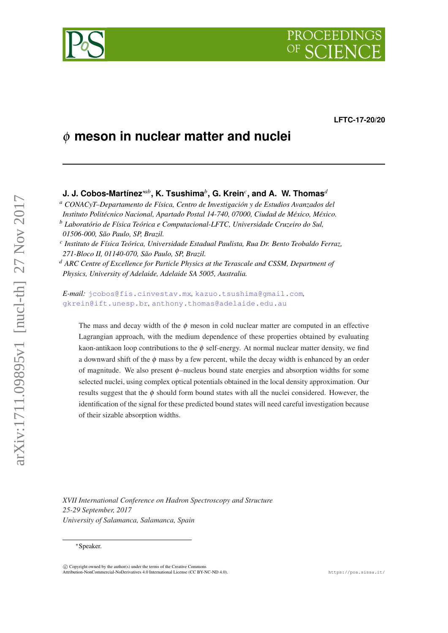# **PROCEEDINGS**

**LFTC-17-20/20**

## φ **meson in nuclear matter and nuclei**

### **J. J. Cobos-Martínez**∗*ab***, K. Tsushima***<sup>b</sup>* **, G. Krein***<sup>c</sup>* **, and A. W. Thomas***<sup>d</sup>*

*<sup>a</sup> CONACyT–Departamento de Física, Centro de Investigación y de Estudios Avanzados del Instituto Politécnico Nacional, Apartado Postal 14-740, 07000, Ciudad de México, México. <sup>b</sup> Laboratório de Física Teórica e Computacional-LFTC, Universidade Cruzeiro do Sul,*

*c Instituto de Física Teórica, Universidade Estadual Paulista, Rua Dr. Bento Teobaldo Ferraz, 271-Bloco II, 01140-070, São Paulo, SP, Brazil.*

*<sup>d</sup> ARC Centre of Excellence for Particle Physics at the Terascale and CSSM, Department of Physics, University of Adelaide, Adelaide SA 5005, Australia.*

*E-mail:* [jcobos@fis.cinvestav.mx](mailto:jcobos@fis.cinvestav.mx)*,* [kazuo.tsushima@gmail.com](mailto:kazuo.tsushima@gmail.com)*,* [gkrein@ift.unesp.br](mailto:gkrein@ift.unesp.br)*,* [anthony.thomas@adelaide.edu.au](mailto:anthony.thomas@adelaide.edu.au)

The mass and decay width of the  $\phi$  meson in cold nuclear matter are computed in an effective Lagrangian approach, with the medium dependence of these properties obtained by evaluating kaon-antikaon loop contributions to the  $\phi$  self-energy. At normal nuclear matter density, we find a downward shift of the  $\phi$  mass by a few percent, while the decay width is enhanced by an order of magnitude. We also present φ–nucleus bound state energies and absorption widths for some selected nuclei, using complex optical potentials obtained in the local density approximation. Our results suggest that the  $\phi$  should form bound states with all the nuclei considered. However, the identification of the signal for these predicted bound states will need careful investigation because of their sizable absorption widths.

*XVII International Conference on Hadron Spectroscopy and Structure 25-29 September, 2017 University of Salamanca, Salamanca, Spain*



*<sup>01506-000,</sup> São Paulo, SP, Brazil.*

<sup>∗</sup>Speaker.

 $\circ$  Convright owned by the author(s) under the terms of the Creative Common Attribution-NonCommercial-NoDerivatives 4.0 International License (CC BY-NC-ND 4.0). https://pos.sissa.it/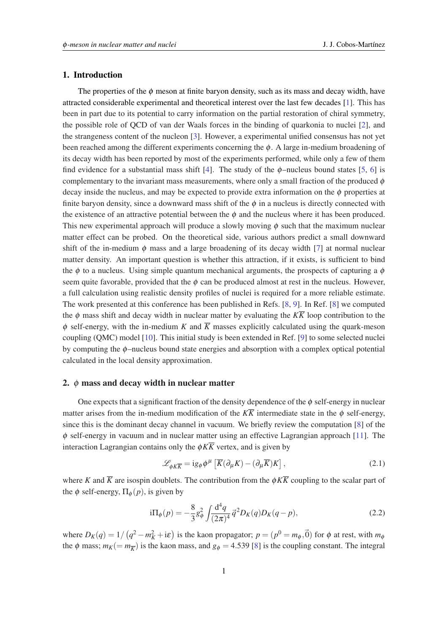#### <span id="page-1-0"></span>1. Introduction

The properties of the  $\phi$  meson at finite baryon density, such as its mass and decay width, have attracted considerable experimental and theoretical interest over the last few decades [[1](#page-5-0)]. This has been in part due to its potential to carry information on the partial restoration of chiral symmetry, the possible role of QCD of van der Waals forces in the binding of quarkonia to nuclei [[2](#page-5-0)], and the strangeness content of the nucleon [[3](#page-5-0)]. However, a experimental unified consensus has not yet been reached among the different experiments concerning the  $\phi$ . A large in-medium broadening of its decay width has been reported by most of the experiments performed, while only a few of them find evidence for a substantial mass shift [\[4\]](#page-5-0). The study of the  $\phi$ -nucleus bound states [\[5,](#page-5-0) [6](#page-5-0)] is complementary to the invariant mass measurements, where only a small fraction of the produced  $\phi$ decay inside the nucleus, and may be expected to provide extra information on the  $\phi$  properties at finite baryon density, since a downward mass shift of the  $\phi$  in a nucleus is directly connected with the existence of an attractive potential between the  $\phi$  and the nucleus where it has been produced. This new experimental approach will produce a slowly moving  $\phi$  such that the maximum nuclear matter effect can be probed. On the theoretical side, various authors predict a small downward shift of the in-medium  $\phi$  mass and a large broadening of its decay width [\[7\]](#page-5-0) at normal nuclear matter density. An important question is whether this attraction, if it exists, is sufficient to bind the  $\phi$  to a nucleus. Using simple quantum mechanical arguments, the prospects of capturing a  $\phi$ seem quite favorable, provided that the  $\phi$  can be produced almost at rest in the nucleus. However, a full calculation using realistic density profiles of nuclei is required for a more reliable estimate. The work presented at this conference has been published in Refs. [[8](#page-5-0), [9](#page-5-0)]. In Ref. [[8](#page-5-0)] we computed the  $\phi$  mass shift and decay width in nuclear matter by evaluating the  $K\overline{K}$  loop contribution to the  $\phi$  self-energy, with the in-medium *K* and  $\overline{K}$  masses explicitly calculated using the quark-meson coupling (QMC) model [\[10](#page-5-0)]. This initial study is been extended in Ref. [\[9\]](#page-5-0) to some selected nuclei by computing the  $\phi$ –nucleus bound state energies and absorption with a complex optical potential calculated in the local density approximation.

#### 2.  $\phi$  mass and decay width in nuclear matter

One expects that a significant fraction of the density dependence of the  $\phi$  self-energy in nuclear matter arises from the in-medium modification of the  $K\overline{K}$  intermediate state in the  $\phi$  self-energy, since this is the dominant decay channel in vacuum. We briefly review the computation [\[8\]](#page-5-0) of the  $\phi$  self-energy in vacuum and in nuclear matter using an effective Lagrangian approach [[11\]](#page-5-0). The interaction Lagrangian contains only the  $\phi K\overline{K}$  vertex, and is given by

$$
\mathcal{L}_{\phi K\overline{K}} = i g_{\phi} \phi^{\mu} \left[ \overline{K} (\partial_{\mu} K) - (\partial_{\mu} \overline{K}) K \right],
$$
 (2.1)

where *K* and  $\overline{K}$  are isospin doublets. The contribution from the  $\phi K \overline{K}$  coupling to the scalar part of the  $\phi$  self-energy,  $\Pi_{\phi}(p)$ , is given by

$$
i\Pi_{\phi}(p) = -\frac{8}{3}g_{\phi}^2 \int \frac{d^4q}{(2\pi)^4} \vec{q}^2 D_K(q) D_K(q-p), \qquad (2.2)
$$

where  $D_K(q) = 1/(q^2 - m_K^2 + i\varepsilon)$  is the kaon propagator;  $p = (p^0 - m_\phi, \vec{0})$  for  $\phi$  at rest, with  $m_\phi$ the  $\phi$  mass;  $m_K (= m_{\overline{K}})$  is the kaon mass, and  $g_{\phi} = 4.539$  [[8](#page-5-0)] is the coupling constant. The integral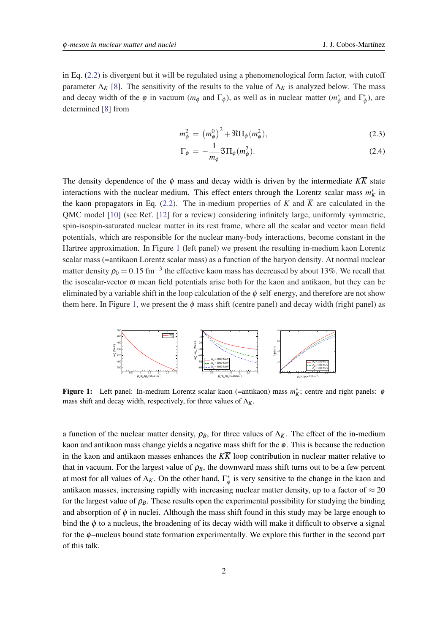in Eq. [\(2.2\)](#page-1-0) is divergent but it will be regulated using a phenomenological form factor, with cutoff parameter  $\Lambda_K$  [\[8\]](#page-5-0). The sensitivity of the results to the value of  $\Lambda_K$  is analyzed below. The mass and decay width of the  $\phi$  in vacuum ( $m_{\phi}$  and  $\Gamma_{\phi}$ ), as well as in nuclear matter ( $m_{\phi}^*$ )  $\Gamma^*_{\phi}$  and  $\Gamma^*_{\phi}$  $(\phi^*)$ , are determined [[8](#page-5-0)] from

$$
m_{\phi}^{2} = (m_{\phi}^{0})^{2} + \Re \Pi_{\phi}(m_{\phi}^{2}), \qquad (2.3)
$$

$$
\Gamma_{\phi} = -\frac{1}{m_{\phi}} \Im \Pi_{\phi}(m_{\phi}^2). \tag{2.4}
$$

The density dependence of the  $\phi$  mass and decay width is driven by the intermediate  $K\overline{K}$  state interactions with the nuclear medium. This effect enters through the Lorentz scalar mass  $m_K^*$  in the kaon propagators in Eq. [\(2.2\)](#page-1-0). The in-medium properties of *K* and  $\overline{K}$  are calculated in the QMC model [\[10](#page-5-0)] (see Ref. [\[12](#page-5-0)] for a review) considering infinitely large, uniformly symmetric, spin-isospin-saturated nuclear matter in its rest frame, where all the scalar and vector mean field potentials, which are responsible for the nuclear many-body interactions, become constant in the Hartree approximation. In Figure 1 (left panel) we present the resulting in-medium kaon Lorentz scalar mass (=antikaon Lorentz scalar mass) as a function of the baryon density. At normal nuclear matter density  $\rho_0 = 0.15 \text{ fm}^{-3}$  the effective kaon mass has decreased by about 13%. We recall that the isoscalar-vector  $\omega$  mean field potentials arise both for the kaon and antikaon, but they can be eliminated by a variable shift in the loop calculation of the  $\phi$  self-energy, and therefore are not show them here. In Figure 1, we present the  $\phi$  mass shift (centre panel) and decay width (right panel) as



**Figure 1:** Left panel: In-medium Lorentz scalar kaon (=antikaon) mass  $m_K^*$ ; centre and right panels:  $\phi$ mass shift and decay width, respectively, for three values of  $\Lambda_K$ .

a function of the nuclear matter density,  $\rho_B$ , for three values of  $\Lambda_K$ . The effect of the in-medium kaon and antikaon mass change yields a negative mass shift for the  $\phi$ . This is because the reduction in the kaon and antikaon masses enhances the  $K\overline{K}$  loop contribution in nuclear matter relative to that in vacuum. For the largest value of  $\rho_B$ , the downward mass shift turns out to be a few percent at most for all values of  $\Lambda_K$ . On the other hand,  $\Gamma_d^*$  $\phi^*$  is very sensitive to the change in the kaon and antikaon masses, increasing rapidly with increasing nuclear matter density, up to a factor of  $\approx 20$ for the largest value of  $\rho_B$ . These results open the experimental possibility for studying the binding and absorption of  $\phi$  in nuclei. Although the mass shift found in this study may be large enough to bind the  $\phi$  to a nucleus, the broadening of its decay width will make it difficult to observe a signal for the  $\phi$ –nucleus bound state formation experimentally. We explore this further in the second part of this talk.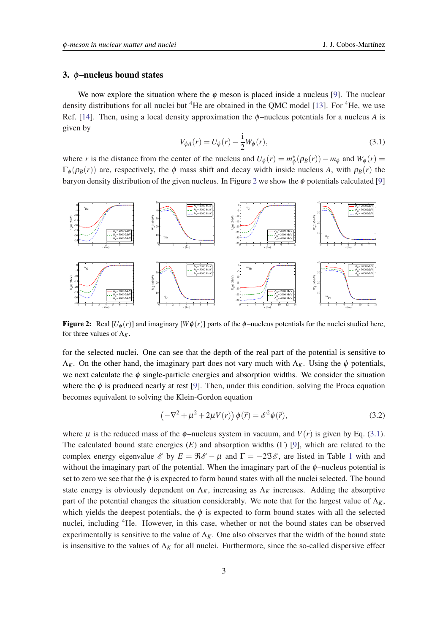#### 3. φ–nucleus bound states

We now explore the situation where the  $\phi$  meson is placed inside a nucleus [\[9\]](#page-5-0). The nuclear density distributions for all nuclei but <sup>4</sup>He are obtained in the OMC model [[13\]](#page-5-0). For <sup>4</sup>He, we use Ref. [[14\]](#page-5-0). Then, using a local density approximation the  $\phi$ -nucleus potentials for a nucleus *A* is given by

$$
V_{\phi A}(r) = U_{\phi}(r) - \frac{i}{2}W_{\phi}(r),
$$
\n(3.1)

where *r* is the distance from the center of the nucleus and  $U_{\phi}(r) = m_{\phi}^{*}$  $\phi_{\phi}^*(\rho_B(r)) - m_{\phi}$  and  $W_{\phi}(r) =$  $\Gamma_{\phi}(\rho_{B}(r))$  are, respectively, the  $\phi$  mass shift and decay width inside nucleus *A*, with  $\rho_{B}(r)$  the baryon density distribution of the given nucleus. In Figure 2 we show the  $\phi$  potentials calculated [[9](#page-5-0)]



**Figure 2:** Real  $[U_\phi(r)]$  and imaginary  $[W\phi(r)]$  parts of the  $\phi$ –nucleus potentials for the nuclei studied here, for three values of  $\Lambda_K$ .

for the selected nuclei. One can see that the depth of the real part of the potential is sensitive to  $\Lambda_K$ . On the other hand, the imaginary part does not vary much with  $\Lambda_K$ . Using the  $\phi$  potentials, we next calculate the  $\phi$  single-particle energies and absorption widths. We consider the situation where the  $\phi$  is produced nearly at rest [[9](#page-5-0)]. Then, under this condition, solving the Proca equation becomes equivalent to solving the Klein-Gordon equation

$$
\left(-\nabla^2 + \mu^2 + 2\mu V(r)\right)\phi(\vec{r}) = \mathscr{E}^2\phi(\vec{r}),\tag{3.2}
$$

where  $\mu$  is the reduced mass of the  $\phi$ -nucleus system in vacuum, and  $V(r)$  is given by Eq. (3.1). The calculated bound state energies (*E*) and absorption widths (Γ) [\[9\]](#page-5-0), which are related to the complex energy eigenvalue  $\mathscr E$  by  $E = \Re \mathscr E - \mu$  and  $\Gamma = -2\Im \mathscr E$ , are listed in Table [1](#page-4-0) with and without the imaginary part of the potential. When the imaginary part of the  $\phi$ –nucleus potential is set to zero we see that the  $\phi$  is expected to form bound states with all the nuclei selected. The bound state energy is obviously dependent on  $\Lambda_K$ , increasing as  $\Lambda_K$  increases. Adding the absorptive part of the potential changes the situation considerably. We note that for the largest value of  $\Lambda_K$ , which yields the deepest potentials, the  $\phi$  is expected to form bound states with all the selected nuclei, including <sup>4</sup>He. However, in this case, whether or not the bound states can be observed experimentally is sensitive to the value of  $\Lambda_K$ . One also observes that the width of the bound state is insensitive to the values of  $\Lambda_K$  for all nuclei. Furthermore, since the so-called dispersive effect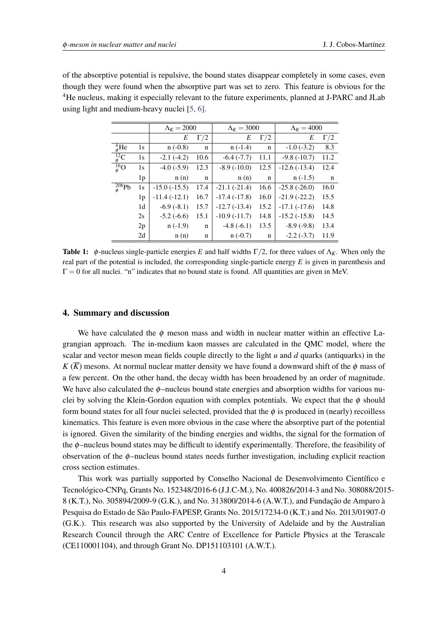<span id="page-4-0"></span>of the absorptive potential is repulsive, the bound states disappear completely in some cases, even though they were found when the absorptive part was set to zero. This feature is obvious for the <sup>4</sup>He nucleus, making it especially relevant to the future experiments, planned at J-PARC and JLab using light and medium-heavy nuclei [[5](#page-5-0), [6](#page-5-0)].

|                   |                | $\Lambda_K = 2000$ |             | $\Lambda_K = 3000$ |             | $\Lambda_K = 4000$ |            |
|-------------------|----------------|--------------------|-------------|--------------------|-------------|--------------------|------------|
|                   |                | E                  | $\Gamma/2$  | E                  | $\Gamma/2$  | E                  | $\Gamma/2$ |
| $^{4}_{6}$ He     | 1s             | $n(-0.8)$          | $\mathbf n$ | $n(-1.4)$          | $\mathbf n$ | $-1.0(-3.2)$       | 8.3        |
| $\frac{12}{6}C$   | 1s             | $-2.1(-4.2)$       | 10.6        | $-6.4(-7.7)$       | 11.1        | $-9.8(-10.7)$      | 11.2       |
| $\frac{16}{6}$ O  | 1s             | $-4.0(-5.9)$       | 12.3        | $-8.9(-10.0)$      | 12.5        | $-12.6(-13.4)$     | 12.4       |
|                   | 1p             | n(n)               | $\mathbf n$ | n(n)               | n           | $n(-1.5)$          | n          |
| $^{208}_{\phi}Pb$ | 1s             | $-15.0(-15.5)$     | 17.4        | $-21.1(-21.4)$     | 16.6        | $-25.8(-26.0)$     | 16.0       |
|                   | 1 <sub>p</sub> | $-11.4(-12.1)$     | 16.7        | $-17.4(-17.8)$     | 16.0        | $-21.9(-22.2)$     | 15.5       |
|                   | 1 <sub>d</sub> | $-6.9(-8.1)$       | 15.7        | $-12.7(-13.4)$     | 15.2        | $-17.1(-17.6)$     | 14.8       |
|                   | 2s             | $-5.2(-6.6)$       | 15.1        | $-10.9(-11.7)$     | 14.8        | $-15.2(-15.8)$     | 14.5       |
|                   | 2p             | $n(-1.9)$          | $\mathbf n$ | $-4.8(-6.1)$       | 13.5        | $-8.9(-9.8)$       | 13.4       |
|                   | 2d             | n(n)               | n           | $n(-0.7)$          | n           | $-2.2(-3.7)$       | 11.9       |

**Table 1:**  $\phi$ -nucleus single-particle energies *E* and half widths  $\Gamma/2$ , for three values of  $\Lambda_K$ . When only the real part of the potential is included, the corresponding single-particle energy *E* is given in parenthesis and  $\Gamma = 0$  for all nuclei. "n" indicates that no bound state is found. All quantities are given in MeV.

#### 4. Summary and discussion

We have calculated the  $\phi$  meson mass and width in nuclear matter within an effective Lagrangian approach. The in-medium kaon masses are calculated in the QMC model, where the scalar and vector meson mean fields couple directly to the light *u* and *d* quarks (antiquarks) in the  $K(\overline{K})$  mesons. At normal nuclear matter density we have found a downward shift of the  $\phi$  mass of a few percent. On the other hand, the decay width has been broadened by an order of magnitude. We have also calculated the  $\phi$ -nucleus bound state energies and absorption widths for various nuclei by solving the Klein-Gordon equation with complex potentials. We expect that the  $\phi$  should form bound states for all four nuclei selected, provided that the  $\phi$  is produced in (nearly) recoilless kinematics. This feature is even more obvious in the case where the absorptive part of the potential is ignored. Given the similarity of the binding energies and widths, the signal for the formation of the φ–nucleus bound states may be difficult to identify experimentally. Therefore, the feasibility of observation of the  $\phi$ –nucleus bound states needs further investigation, including explicit reaction cross section estimates.

This work was partially supported by Conselho Nacional de Desenvolvimento Científico e Tecnológico-CNPq, Grants No. 152348/2016-6 (J.J.C-M.), No. 400826/2014-3 and No. 308088/2015- 8 (K.T.), No. 305894/2009-9 (G.K.), and No. 313800/2014-6 (A.W.T.), and Fundação de Amparo à Pesquisa do Estado de São Paulo-FAPESP, Grants No. 2015/17234-0 (K.T.) and No. 2013/01907-0 (G.K.). This research was also supported by the University of Adelaide and by the Australian Research Council through the ARC Centre of Excellence for Particle Physics at the Terascale (CE110001104), and through Grant No. DP151103101 (A.W.T.).